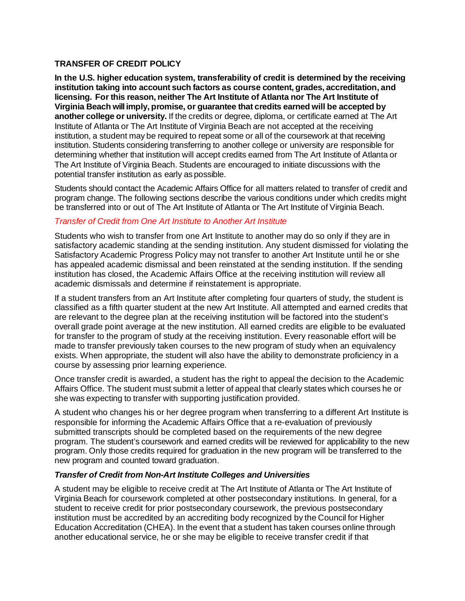### **TRANSFER OF CREDIT POLICY**

**In the U.S. higher education system, transferability of credit is determined by the receiving institution taking into account such factors as course content, grades, accreditation, and licensing. For this reason, neither The Art Institute of Atlanta nor The Art Institute of Virginia Beach will imply, promise, or guarantee that credits earned will be accepted by another college or university.** If the credits or degree, diploma, or certificate earned at The Art Institute of Atlanta or The Art Institute of Virginia Beach are not accepted at the receiving institution, a student may be required to repeat some or all of the coursework at that receiving institution. Students considering transferring to another college or university are responsible for determining whether that institution will accept credits earned from The Art Institute of Atlanta or The Art Institute of Virginia Beach. Students are encouraged to initiate discussions with the potential transfer institution as early as possible.

Students should contact the Academic Affairs Office for all matters related to transfer of credit and program change. The following sections describe the various conditions under which credits might be transferred into or out of The Art Institute of Atlanta or The Art Institute of Virginia Beach.

## *Transfer of Credit from One Art Institute to Another Art Institute*

Students who wish to transfer from one Art Institute to another may do so only if they are in satisfactory academic standing at the sending institution. Any student dismissed for violating the Satisfactory Academic Progress Policy may not transfer to another Art Institute until he or she has appealed academic dismissal and been reinstated at the sending institution. If the sending institution has closed, the Academic Affairs Office at the receiving institution will review all academic dismissals and determine if reinstatement is appropriate.

If a student transfers from an Art Institute after completing four quarters of study, the student is classified as a fifth quarter student at the new Art Institute. All attempted and earned credits that are relevant to the degree plan at the receiving institution will be factored into the student's overall grade point average at the new institution. All earned credits are eligible to be evaluated for transfer to the program of study at the receiving institution. Every reasonable effort will be made to transfer previously taken courses to the new program of study when an equivalency exists. When appropriate, the student will also have the ability to demonstrate proficiency in a course by assessing prior learning experience.

Once transfer credit is awarded, a student has the right to appeal the decision to the Academic Affairs Office. The student must submit a letter of appeal that clearly states which courses he or she was expecting to transfer with supporting justification provided.

A student who changes his or her degree program when transferring to a different Art Institute is responsible for informing the Academic Affairs Office that a re-evaluation of previously submitted transcripts should be completed based on the requirements of the new degree program. The student's coursework and earned credits will be reviewed for applicability to the new program. Only those credits required for graduation in the new program will be transferred to the new program and counted toward graduation.

### *Transfer of Credit from Non-Art Institute Colleges and Universities*

A student may be eligible to receive credit at The Art Institute of Atlanta or The Art Institute of Virginia Beach for coursework completed at other postsecondary institutions. In general, for a student to receive credit for prior postsecondary coursework, the previous postsecondary institution must be accredited by an accrediting body recognized by the Council for Higher Education Accreditation (CHEA). In the event that a student has taken courses online through another educational service, he or she may be eligible to receive transfer credit if that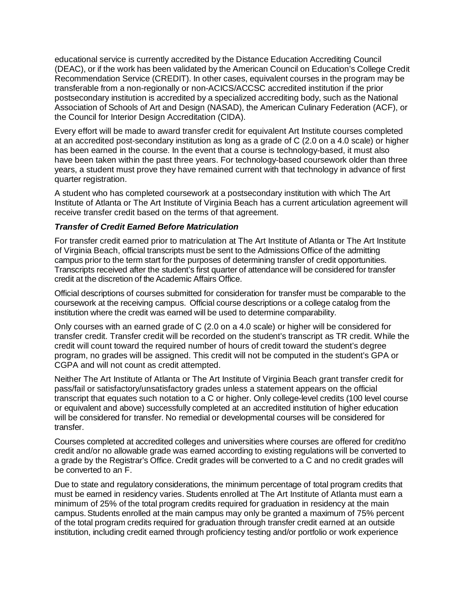educational service is currently accredited by the Distance Education Accrediting Council (DEAC), or if the work has been validated by the American Council on Education's College Credit Recommendation Service (CREDIT). In other cases, equivalent courses in the program may be transferable from a non-regionally or non-ACICS/ACCSC accredited institution if the prior postsecondary institution is accredited by a specialized accrediting body, such as the National Association of Schools of Art and Design (NASAD), the American Culinary Federation (ACF), or the Council for Interior Design Accreditation (CIDA).

Every effort will be made to award transfer credit for equivalent Art Institute courses completed at an accredited post-secondary institution as long as a grade of C (2.0 on a 4.0 scale) or higher has been earned in the course. In the event that a course is technology-based, it must also have been taken within the past three years. For technology-based coursework older than three years, a student must prove they have remained current with that technology in advance of first quarter registration.

A student who has completed coursework at a postsecondary institution with which The Art Institute of Atlanta or The Art Institute of Virginia Beach has a current articulation agreement will receive transfer credit based on the terms of that agreement.

### *Transfer of Credit Earned Before Matriculation*

For transfer credit earned prior to matriculation at The Art Institute of Atlanta or The Art Institute of Virginia Beach, official transcripts must be sent to the Admissions Office of the admitting campus prior to the term start for the purposes of determining transfer of credit opportunities. Transcripts received after the student's first quarter of attendance will be considered for transfer credit at the discretion of the Academic Affairs Office.

Official descriptions of courses submitted for consideration for transfer must be comparable to the coursework at the receiving campus. Official course descriptions or a college catalog from the institution where the credit was earned will be used to determine comparability.

Only courses with an earned grade of C (2.0 on a 4.0 scale) or higher will be considered for transfer credit. Transfer credit will be recorded on the student's transcript as TR credit. While the credit will count toward the required number of hours of credit toward the student's degree program, no grades will be assigned. This credit will not be computed in the student's GPA or CGPA and will not count as credit attempted.

Neither The Art Institute of Atlanta or The Art Institute of Virginia Beach grant transfer credit for pass/fail or satisfactory/unsatisfactory grades unless a statement appears on the official transcript that equates such notation to a C or higher. Only college-level credits (100 level course or equivalent and above) successfully completed at an accredited institution of higher education will be considered for transfer. No remedial or developmental courses will be considered for transfer.

Courses completed at accredited colleges and universities where courses are offered for credit/no credit and/or no allowable grade was earned according to existing regulations will be converted to a grade by the Registrar's Office. Credit grades will be converted to a C and no credit grades will be converted to an F.

Due to state and regulatory considerations, the minimum percentage of total program credits that must be earned in residency varies. Students enrolled at The Art Institute of Atlanta must earn a minimum of 25% of the total program credits required for graduation in residency at the main campus. Students enrolled at the main campus may only be granted a maximum of 75% percent of the total program credits required for graduation through transfer credit earned at an outside institution, including credit earned through proficiency testing and/or portfolio or work experience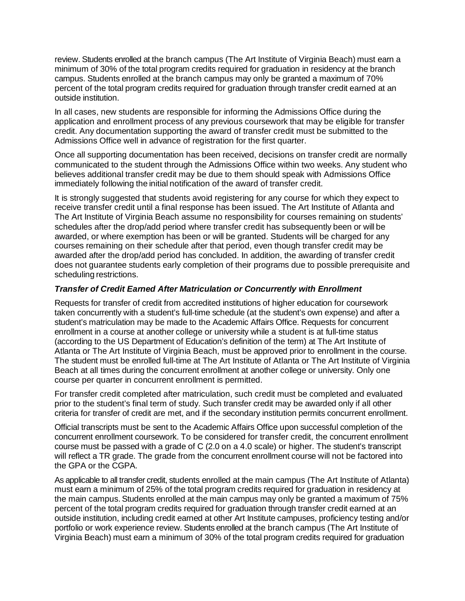review. Students enrolled at the branch campus (The Art Institute of Virginia Beach) must earn a minimum of 30% of the total program credits required for graduation in residency at the branch campus. Students enrolled at the branch campus may only be granted a maximum of 70% percent of the total program credits required for graduation through transfer credit earned at an outside institution.

In all cases, new students are responsible for informing the Admissions Office during the application and enrollment process of any previous coursework that may be eligible for transfer credit. Any documentation supporting the award of transfer credit must be submitted to the Admissions Office well in advance of registration for the first quarter.

Once all supporting documentation has been received, decisions on transfer credit are normally communicated to the student through the Admissions Office within two weeks. Any student who believes additional transfer credit may be due to them should speak with Admissions Office immediately following the initial notification of the award of transfer credit.

It is strongly suggested that students avoid registering for any course for which they expect to receive transfer credit until a final response has been issued. The Art Institute of Atlanta and The Art Institute of Virginia Beach assume no responsibility for courses remaining on students' schedules after the drop/add period where transfer credit has subsequently been or will be awarded, or where exemption has been or will be granted. Students will be charged for any courses remaining on their schedule after that period, even though transfer credit may be awarded after the drop/add period has concluded. In addition, the awarding of transfer credit does not guarantee students early completion of their programs due to possible prerequisite and scheduling restrictions.

#### *Transfer of Credit Earned After Matriculation or Concurrently with Enrollment*

Requests for transfer of credit from accredited institutions of higher education for coursework taken concurrently with a student's full-time schedule (at the student's own expense) and after a student's matriculation may be made to the Academic Affairs Office. Requests for concurrent enrollment in a course at another college or university while a student is at full-time status (according to the US Department of Education's definition of the term) at The Art Institute of Atlanta or The Art Institute of Virginia Beach, must be approved prior to enrollment in the course. The student must be enrolled full-time at The Art Institute of Atlanta or The Art Institute of Virginia Beach at all times during the concurrent enrollment at another college or university. Only one course per quarter in concurrent enrollment is permitted.

For transfer credit completed after matriculation, such credit must be completed and evaluated prior to the student's final term of study. Such transfer credit may be awarded only if all other criteria for transfer of credit are met, and if the secondary institution permits concurrent enrollment.

Official transcripts must be sent to the Academic Affairs Office upon successful completion of the concurrent enrollment coursework. To be considered for transfer credit, the concurrent enrollment course must be passed with a grade of C (2.0 on a 4.0 scale) or higher. The student's transcript will reflect a TR grade. The grade from the concurrent enrollment course will not be factored into the GPA or the CGPA.

As applicable to all transfer credit, students enrolled at the main campus (The Art Institute of Atlanta) must earn a minimum of 25% of the total program credits required for graduation in residency at the main campus. Students enrolled at the main campus may only be granted a maximum of 75% percent of the total program credits required for graduation through transfer credit earned at an outside institution, including credit earned at other Art Institute campuses, proficiency testing and/or portfolio or work experience review. Students enrolled at the branch campus (The Art Institute of Virginia Beach) must earn a minimum of 30% of the total program credits required for graduation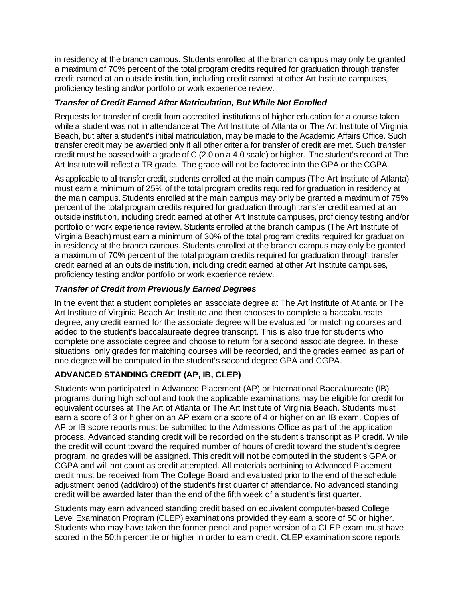in residency at the branch campus. Students enrolled at the branch campus may only be granted a maximum of 70% percent of the total program credits required for graduation through transfer credit earned at an outside institution, including credit earned at other Art Institute campuses, proficiency testing and/or portfolio or work experience review.

# *Transfer of Credit Earned After Matriculation, But While Not Enrolled*

Requests for transfer of credit from accredited institutions of higher education for a course taken while a student was not in attendance at The Art Institute of Atlanta or The Art Institute of Virginia Beach, but after a student's initial matriculation, may be made to the Academic Affairs Office. Such transfer credit may be awarded only if all other criteria for transfer of credit are met. Such transfer credit must be passed with a grade of C (2.0 on a 4.0 scale) or higher. The student's record at The Art Institute will reflect a TR grade. The grade will not be factored into the GPA or the CGPA.

As applicable to all transfer credit, students enrolled at the main campus (The Art Institute of Atlanta) must earn a minimum of 25% of the total program credits required for graduation in residency at the main campus. Students enrolled at the main campus may only be granted a maximum of 75% percent of the total program credits required for graduation through transfer credit earned at an outside institution, including credit earned at other Art Institute campuses, proficiency testing and/or portfolio or work experience review. Students enrolled at the branch campus (The Art Institute of Virginia Beach) must earn a minimum of 30% of the total program credits required for graduation in residency at the branch campus. Students enrolled at the branch campus may only be granted a maximum of 70% percent of the total program credits required for graduation through transfer credit earned at an outside institution, including credit earned at other Art Institute campuses, proficiency testing and/or portfolio or work experience review.

## *Transfer of Credit from Previously Earned Degrees*

In the event that a student completes an associate degree at The Art Institute of Atlanta or The Art Institute of Virginia Beach Art Institute and then chooses to complete a baccalaureate degree, any credit earned for the associate degree will be evaluated for matching courses and added to the student's baccalaureate degree transcript. This is also true for students who complete one associate degree and choose to return for a second associate degree. In these situations, only grades for matching courses will be recorded, and the grades earned as part of one degree will be computed in the student's second degree GPA and CGPA.

# **ADVANCED STANDING CREDIT (AP, IB, CLEP)**

Students who participated in Advanced Placement (AP) or International Baccalaureate (IB) programs during high school and took the applicable examinations may be eligible for credit for equivalent courses at The Art of Atlanta or The Art Institute of Virginia Beach. Students must earn a score of 3 or higher on an AP exam or a score of 4 or higher on an IB exam. Copies of AP or IB score reports must be submitted to the Admissions Office as part of the application process. Advanced standing credit will be recorded on the student's transcript as P credit. While the credit will count toward the required number of hours of credit toward the student's degree program, no grades will be assigned. This credit will not be computed in the student's GPA or CGPA and will not count as credit attempted. All materials pertaining to Advanced Placement credit must be received from The College Board and evaluated prior to the end of the schedule adjustment period (add/drop) of the student's first quarter of attendance. No advanced standing credit will be awarded later than the end of the fifth week of a student's first quarter.

Students may earn advanced standing credit based on equivalent computer-based College Level Examination Program (CLEP) examinations provided they earn a score of 50 or higher. Students who may have taken the former pencil and paper version of a CLEP exam must have scored in the 50th percentile or higher in order to earn credit. CLEP examination score reports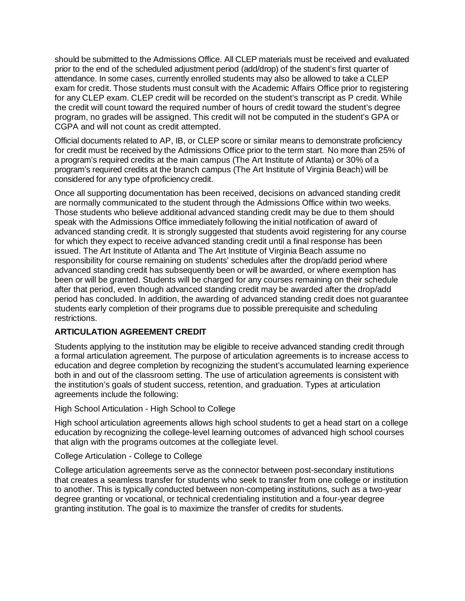should be submitted to the Admissions Office. All CLEP materials must be received and evaluated prior to the end of the scheduled adjustment period (add/drop) of the student's first quarter of attendance. In some cases, currently enrolled students may also be allowed to take a CLEP exam for credit. Those students must consult with the Academic Affairs Office prior to registering for any CLEP exam. CLEP credit will be recorded on the student's transcript as P credit. While the credit will count toward the required number of hours of credit toward the student's degree program, no grades will be assigned. This credit will not be computed in the student's GPA or CGPA and will not count as credit attempted.

Official documents related to AP, IB, or CLEP score or similar means to demonstrate proficiency for credit must be received by the Admissions Office prior to the term start. No more than 25% of a program's required credits at the main campus (The Art Institute of Atlanta) or 30% of a program's required credits at the branch campus (The Art Institute of Virginia Beach) will be considered for any type ofproficiency credit.

Once all supporting documentation has been received, decisions on advanced standing credit are normally communicated to the student through the Admissions Office within two weeks. Those students who believe additional advanced standing credit may be due to them should speak with the Admissions Office immediately following the initial notification of award of advanced standing credit. It is strongly suggested that students avoid registering for any course for which they expect to receive advanced standing credit until a final response has been issued. The Art Institute of Atlanta and The Art Institute of Virginia Beach assume no responsibility for course remaining on students' schedules after the drop/add period where advanced standing credit has subsequently been or will be awarded, or where exemption has been or will be granted. Students will be charged for any courses remaining on their schedule after that period, even though advanced standing credit may be awarded after the drop/add period has concluded. In addition, the awarding of advanced standing credit does not guarantee students early completion of their programs due to possible prerequisite and scheduling restrictions.

### **ARTICULATION AGREEMENT CREDIT**

Students applying to the institution may be eligible to receive advanced standing credit through a formal articulation agreement. The purpose of articulation agreements is to increase access to education and degree completion by recognizing the student's accumulated learning experience both in and out of the classroom setting. The use of articulation agreements is consistent with the institution's goals of student success, retention, and graduation. Types at articulation agreements include the following:

### High School Articulation - High School to College

High school articulation agreements allows high school students to get a head start on a college education by recognizing the college-level learning outcomes of advanced high school courses that align with the programs outcomes at the collegiate level.

### College Articulation - College to College

College articulation agreements serve as the connector between post-secondary institutions that creates a seamless transfer for students who seek to transfer from one college or institution to another. This is typically conducted between non-competing institutions, such as a two-year degree granting or vocational, or technical credentialing institution and a four-year degree granting institution. The goal is to maximize the transfer of credits for students.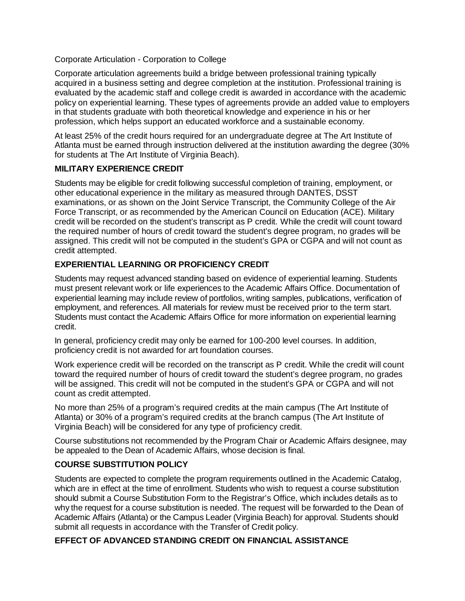Corporate Articulation - Corporation to College

Corporate articulation agreements build a bridge between professional training typically acquired in a business setting and degree completion at the institution. Professional training is evaluated by the academic staff and college credit is awarded in accordance with the academic policy on experiential learning. These types of agreements provide an added value to employers in that students graduate with both theoretical knowledge and experience in his or her profession, which helps support an educated workforce and a sustainable economy.

At least 25% of the credit hours required for an undergraduate degree at The Art Institute of Atlanta must be earned through instruction delivered at the institution awarding the degree (30% for students at The Art Institute of Virginia Beach).

### **MILITARY EXPERIENCE CREDIT**

Students may be eligible for credit following successful completion of training, employment, or other educational experience in the military as measured through DANTES, DSST examinations, or as shown on the Joint Service Transcript, the Community College of the Air Force Transcript, or as recommended by the American Council on Education (ACE). Military credit will be recorded on the student's transcript as P credit. While the credit will count toward the required number of hours of credit toward the student's degree program, no grades will be assigned. This credit will not be computed in the student's GPA or CGPA and will not count as credit attempted.

# **EXPERIENTIAL LEARNING OR PROFICIENCY CREDIT**

Students may request advanced standing based on evidence of experiential learning. Students must present relevant work or life experiences to the Academic Affairs Office. Documentation of experiential learning may include review of portfolios, writing samples, publications, verification of employment, and references. All materials for review must be received prior to the term start. Students must contact the Academic Affairs Office for more information on experiential learning credit.

In general, proficiency credit may only be earned for 100-200 level courses. In addition, proficiency credit is not awarded for art foundation courses.

Work experience credit will be recorded on the transcript as P credit. While the credit will count toward the required number of hours of credit toward the student's degree program, no grades will be assigned. This credit will not be computed in the student's GPA or CGPA and will not count as credit attempted.

No more than 25% of a program's required credits at the main campus (The Art Institute of Atlanta) or 30% of a program's required credits at the branch campus (The Art Institute of Virginia Beach) will be considered for any type of proficiency credit.

Course substitutions not recommended by the Program Chair or Academic Affairs designee, may be appealed to the Dean of Academic Affairs, whose decision is final.

# **COURSE SUBSTITUTION POLICY**

Students are expected to complete the program requirements outlined in the Academic Catalog, which are in effect at the time of enrollment. Students who wish to request a course substitution should submit a Course Substitution Form to the Registrar's Office, which includes details as to why the request for a course substitution is needed. The request will be forwarded to the Dean of Academic Affairs (Atlanta) or the Campus Leader (Virginia Beach) for approval. Students should submit all requests in accordance with the Transfer of Credit policy.

### **EFFECT OF ADVANCED STANDING CREDIT ON FINANCIAL ASSISTANCE**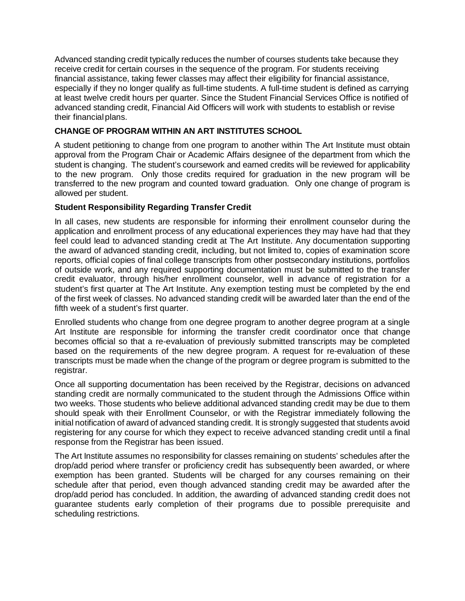Advanced standing credit typically reduces the number of courses students take because they receive credit for certain courses in the sequence of the program. For students receiving financial assistance, taking fewer classes may affect their eligibility for financial assistance, especially if they no longer qualify as full-time students. A full-time student is defined as carrying at least twelve credit hours per quarter. Since the Student Financial Services Office is notified of advanced standing credit, Financial Aid Officers will work with students to establish or revise their financial plans.

## **CHANGE OF PROGRAM WITHIN AN ART INSTITUTES SCHOOL**

A student petitioning to change from one program to another within The Art Institute must obtain approval from the Program Chair or Academic Affairs designee of the department from which the student is changing. The student's coursework and earned credits will be reviewed for applicability to the new program. Only those credits required for graduation in the new program will be transferred to the new program and counted toward graduation. Only one change of program is allowed per student.

## **Student Responsibility Regarding Transfer Credit**

In all cases, new students are responsible for informing their enrollment counselor during the application and enrollment process of any educational experiences they may have had that they feel could lead to advanced standing credit at The Art Institute. Any documentation supporting the award of advanced standing credit, including, but not limited to, copies of examination score reports, official copies of final college transcripts from other postsecondary institutions, portfolios of outside work, and any required supporting documentation must be submitted to the transfer credit evaluator, through his/her enrollment counselor, well in advance of registration for a student's first quarter at The Art Institute. Any exemption testing must be completed by the end of the first week of classes. No advanced standing credit will be awarded later than the end of the fifth week of a student's first quarter.

Enrolled students who change from one degree program to another degree program at a single Art Institute are responsible for informing the transfer credit coordinator once that change becomes official so that a re-evaluation of previously submitted transcripts may be completed based on the requirements of the new degree program. A request for re-evaluation of these transcripts must be made when the change of the program or degree program is submitted to the registrar.

Once all supporting documentation has been received by the Registrar, decisions on advanced standing credit are normally communicated to the student through the Admissions Office within two weeks. Those students who believe additional advanced standing credit may be due to them should speak with their Enrollment Counselor, or with the Registrar immediately following the initial notification of award of advanced standing credit. It is strongly suggested that students avoid registering for any course for which they expect to receive advanced standing credit until a final response from the Registrar has been issued.

The Art Institute assumes no responsibility for classes remaining on students' schedules after the drop/add period where transfer or proficiency credit has subsequently been awarded, or where exemption has been granted. Students will be charged for any courses remaining on their schedule after that period, even though advanced standing credit may be awarded after the drop/add period has concluded. In addition, the awarding of advanced standing credit does not guarantee students early completion of their programs due to possible prerequisite and scheduling restrictions.